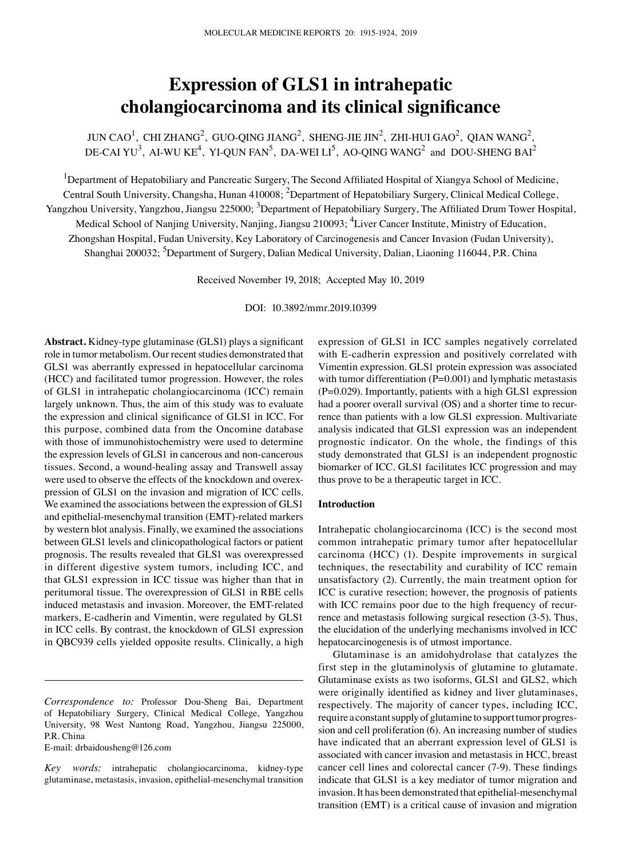# **Expression of GLS1 in intrahepatic cholangiocarcinoma and its clinical significance**

JUN CAO<sup>1</sup>, CHI ZHANG<sup>2</sup>, GUO-QING JIANG<sup>2</sup>, SHENG-JIE JIN<sup>2</sup>, ZHI-HUI GAO<sup>2</sup>, QIAN WANG<sup>2</sup>, DE‐CAI YU<sup>3</sup>, AI‐WU KE<sup>4</sup>, YI‐QUN FAN<sup>5</sup>, DA‐WEI LI<sup>5</sup>, AO‐QING WANG<sup>2</sup> and DOU‐SHENG BAI<sup>2</sup>

<sup>1</sup>Department of Hepatobiliary and Pancreatic Surgery, The Second Affiliated Hospital of Xiangya School of Medicine, Central South University, Changsha, Hunan 410008; <sup>2</sup>Department of Hepatobiliary Surgery, Clinical Medical College, Yangzhou University, Yangzhou, Jiangsu 225000; <sup>3</sup>Department of Hepatobiliary Surgery, The Affiliated Drum Tower Hospital, Medical School of Nanjing University, Nanjing, Jiangsu 210093; <sup>4</sup>Liver Cancer Institute, Ministry of Education, Zhongshan Hospital, Fudan University, Key Laboratory of Carcinogenesis and Cancer Invasion (Fudan University), Shanghai 200032; <sup>5</sup>Department of Surgery, Dalian Medical University, Dalian, Liaoning 116044, P.R. China

Received November 19, 2018; Accepted May 10, 2019

DOI: 10.3892/mmr.2019.10399

**Abstract.** Kidney‑type glutaminase (GLS1) plays a significant role in tumor metabolism. Our recent studies demonstrated that GLS1 was aberrantly expressed in hepatocellular carcinoma (HCC) and facilitated tumor progression. However, the roles of GLS1 in intrahepatic cholangiocarcinoma (ICC) remain largely unknown. Thus, the aim of this study was to evaluate the expression and clinical significance of GLS1 in ICC. For this purpose, combined data from the Oncomine database with those of immunohistochemistry were used to determine the expression levels of GLS1 in cancerous and non‑cancerous tissues. Second, a wound‑healing assay and Transwell assay were used to observe the effects of the knockdown and overexpression of GLS1 on the invasion and migration of ICC cells. We examined the associations between the expression of GLS1 and epithelial-mesenchymal transition (EMT)-related markers by western blot analysis. Finally, we examined the associations between GLS1 levels and clinicopathological factors or patient prognosis. The results revealed that GLS1 was overexpressed in different digestive system tumors, including ICC, and that GLS1 expression in ICC tissue was higher than that in peritumoral tissue. The overexpression of GLS1 in RBE cells induced metastasis and invasion. Moreover, the EMT‑related markers, E-cadherin and Vimentin, were regulated by GLS1 in ICC cells. By contrast, the knockdown of GLS1 expression in QBC939 cells yielded opposite results. Clinically, a high

E‑mail: drbaidousheng@126.com

expression of GLS1 in ICC samples negatively correlated with E-cadherin expression and positively correlated with Vimentin expression. GLS1 protein expression was associated with tumor differentiation  $(P=0.001)$  and lymphatic metastasis  $(P=0.029)$ . Importantly, patients with a high GLS1 expression had a poorer overall survival (OS) and a shorter time to recurrence than patients with a low GLS1 expression. Multivariate analysis indicated that GLS1 expression was an independent prognostic indicator. On the whole, the findings of this study demonstrated that GLS1 is an independent prognostic biomarker of ICC. GLS1 facilitates ICC progression and may thus prove to be a therapeutic target in ICC.

## **Introduction**

Intrahepatic cholangiocarcinoma (ICC) is the second most common intrahepatic primary tumor after hepatocellular carcinoma (HCC) (1). Despite improvements in surgical techniques, the resectability and curability of ICC remain unsatisfactory (2). Currently, the main treatment option for ICC is curative resection; however, the prognosis of patients with ICC remains poor due to the high frequency of recurrence and metastasis following surgical resection (3‑5). Thus, the elucidation of the underlying mechanisms involved in ICC hepatocarcinogenesis is of utmost importance.

Glutaminase is an amidohydrolase that catalyzes the first step in the glutaminolysis of glutamine to glutamate. Glutaminase exists as two isoforms, GLS1 and GLS2, which were originally identified as kidney and liver glutaminases, respectively. The majority of cancer types, including ICC, require a constant supply of glutamine to support tumor progression and cell proliferation (6). An increasing number of studies have indicated that an aberrant expression level of GLS1 is associated with cancer invasion and metastasis in HCC, breast cancer cell lines and colorectal cancer (7‑9). These findings indicate that GLS1 is a key mediator of tumor migration and invasion. It has been demonstrated that epithelial-mesenchymal transition (EMT) is a critical cause of invasion and migration

*Correspondence to:* Professor Dou‑Sheng Bai, Department of Hepatobiliary Surgery, Clinical Medical College, Yangzhou University, 98 West Nantong Road, Yangzhou, Jiangsu 225000, P.R. China

Key words: intrahepatic cholangiocarcinoma, kidney-type glutaminase, metastasis, invasion, epithelial‑mesenchymal transition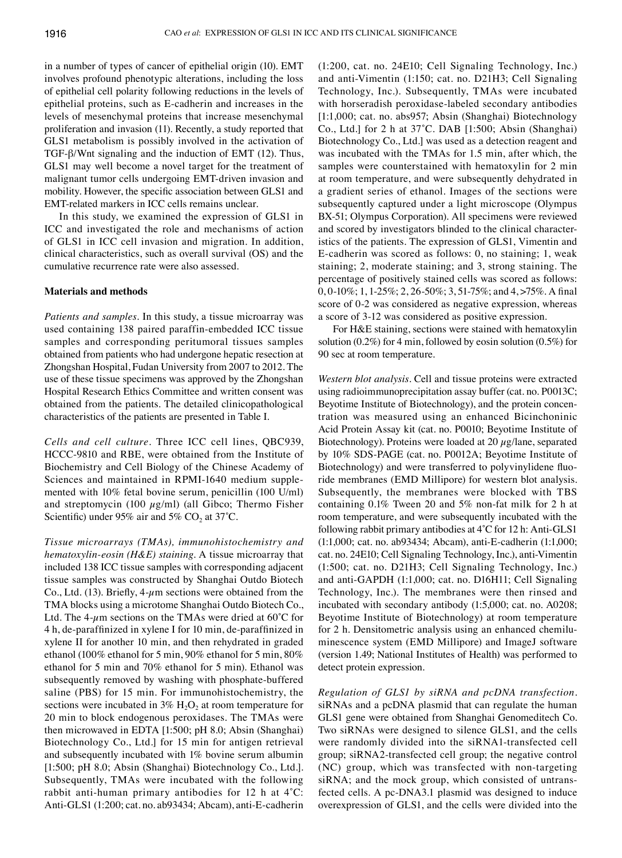in a number of types of cancer of epithelial origin (10). EMT involves profound phenotypic alterations, including the loss of epithelial cell polarity following reductions in the levels of epithelial proteins, such as E‑cadherin and increases in the levels of mesenchymal proteins that increase mesenchymal proliferation and invasion (11). Recently, a study reported that GLS1 metabolism is possibly involved in the activation of TGF-β/Wnt signaling and the induction of EMT (12). Thus, GLS1 may well become a novel target for the treatment of malignant tumor cells undergoing EMT‑driven invasion and mobility. However, the specific association between GLS1 and EMT‑related markers in ICC cells remains unclear.

In this study, we examined the expression of GLS1 in ICC and investigated the role and mechanisms of action of GLS1 in ICC cell invasion and migration. In addition, clinical characteristics, such as overall survival (OS) and the cumulative recurrence rate were also assessed.

## **Materials and methods**

*Patients and samples.* In this study, a tissue microarray was used containing 138 paired paraffin‑embedded ICC tissue samples and corresponding peritumoral tissues samples obtained from patients who had undergone hepatic resection at Zhongshan Hospital, Fudan University from 2007 to 2012. The use of these tissue specimens was approved by the Zhongshan Hospital Research Ethics Committee and written consent was obtained from the patients. The detailed clinicopathological characteristics of the patients are presented in Table I.

*Cells and cell culture.* Three ICC cell lines, QBC939, HCCC‑9810 and RBE, were obtained from the Institute of Biochemistry and Cell Biology of the Chinese Academy of Sciences and maintained in RPMI-1640 medium supplemented with 10% fetal bovine serum, penicillin (100 U/ml) and streptomycin (100  $\mu$ g/ml) (all Gibco; Thermo Fisher Scientific) under 95% air and 5%  $CO<sub>2</sub>$  at 37°C.

*Tissue microarrays (TMAs), immunohistochemistry and hematoxylin‑eosin (H&E) staining.* A tissue microarray that included 138 ICC tissue samples with corresponding adjacent tissue samples was constructed by Shanghai Outdo Biotech Co., Ltd. (13). Briefly,  $4-\mu$ m sections were obtained from the TMA blocks using a microtome Shanghai Outdo Biotech Co., Ltd. The 4- $\mu$ m sections on the TMAs were dried at 60°C for 4 h, de‑paraffinized in xylene I for 10 min, de‑paraffinized in xylene II for another 10 min, and then rehydrated in graded ethanol (100% ethanol for 5 min, 90% ethanol for 5 min, 80% ethanol for 5 min and 70% ethanol for 5 min). Ethanol was subsequently removed by washing with phosphate-buffered saline (PBS) for 15 min. For immunohistochemistry, the sections were incubated in  $3\%$  H<sub>2</sub>O<sub>2</sub> at room temperature for 20 min to block endogenous peroxidases. The TMAs were then microwaved in EDTA [1:500; pH 8.0; Absin (Shanghai) Biotechnology Co., Ltd.] for 15 min for antigen retrieval and subsequently incubated with 1% bovine serum albumin [1:500; pH 8.0; Absin (Shanghai) Biotechnology Co., Ltd.]. Subsequently, TMAs were incubated with the following rabbit anti-human primary antibodies for 12 h at  $4^{\circ}$ C: Anti-GLS1 (1:200; cat. no. ab93434; Abcam), anti-E-cadherin (1:200, cat. no. 24E10; Cell Signaling Technology, Inc.) and anti‑Vimentin (1:150; cat. no. D21H3; Cell Signaling Technology, Inc.). Subsequently, TMAs were incubated with horseradish peroxidase-labeled secondary antibodies [1:1,000; cat. no. abs957; Absin (Shanghai) Biotechnology Co., Ltd.] for 2 h at 37˚C. DAB [1:500; Absin (Shanghai) Biotechnology Co., Ltd.] was used as a detection reagent and was incubated with the TMAs for 1.5 min, after which, the samples were counterstained with hematoxylin for 2 min at room temperature, and were subsequently dehydrated in a gradient series of ethanol. Images of the sections were subsequently captured under a light microscope (Olympus BX-51; Olympus Corporation). All specimens were reviewed and scored by investigators blinded to the clinical characteristics of the patients. The expression of GLS1, Vimentin and E‑cadherin was scored as follows: 0, no staining; 1, weak staining; 2, moderate staining; and 3, strong staining. The percentage of positively stained cells was scored as follows: 0, 0‑10%; 1, 1‑25%; 2, 26‑50%; 3, 51‑75%; and 4, >75%. A final score of 0-2 was considered as negative expression, whereas a score of 3‑12 was considered as positive expression.

For H&E staining, sections were stained with hematoxylin solution (0.2%) for 4 min, followed by eosin solution (0.5%) for 90 sec at room temperature.

*Western blot analysis.* Cell and tissue proteins were extracted using radioimmunoprecipitation assay buffer (cat. no. P0013C; Beyotime Institute of Biotechnology), and the protein concentration was measured using an enhanced Bicinchoninic Acid Protein Assay kit (cat. no. P0010; Beyotime Institute of Biotechnology). Proteins were loaded at 20  $\mu$ g/lane, separated by 10% SDS‑PAGE (cat. no. P0012A; Beyotime Institute of Biotechnology) and were transferred to polyvinylidene fluoride membranes (EMD Millipore) for western blot analysis. Subsequently, the membranes were blocked with TBS containing 0.1% Tween 20 and 5% non‑fat milk for 2 h at room temperature, and were subsequently incubated with the following rabbit primary antibodies at 4˚C for 12 h: Anti‑GLS1 (1:1,000; cat. no. ab93434; Abcam), anti‑E‑cadherin (1:1,000; cat. no. 24E10; Cell Signaling Technology, Inc.), anti‑Vimentin (1:500; cat. no. D21H3; Cell Signaling Technology, Inc.) and anti‑GAPDH (1:1,000; cat. no. D16H11; Cell Signaling Technology, Inc.). The membranes were then rinsed and incubated with secondary antibody (1:5,000; cat. no. A0208; Beyotime Institute of Biotechnology) at room temperature for 2 h. Densitometric analysis using an enhanced chemiluminescence system (EMD Millipore) and ImageJ software (version 1.49; National Institutes of Health) was performed to detect protein expression.

*Regulation of GLS1 by siRNA and pcDNA transfection.*  siRNAs and a pcDNA plasmid that can regulate the human GLS1 gene were obtained from Shanghai Genomeditech Co. Two siRNAs were designed to silence GLS1, and the cells were randomly divided into the siRNA1-transfected cell group; siRNA2‑transfected cell group; the negative control (NC) group, which was transfected with non-targeting siRNA; and the mock group, which consisted of untransfected cells. A pc‑DNA3.1 plasmid was designed to induce overexpression of GLS1, and the cells were divided into the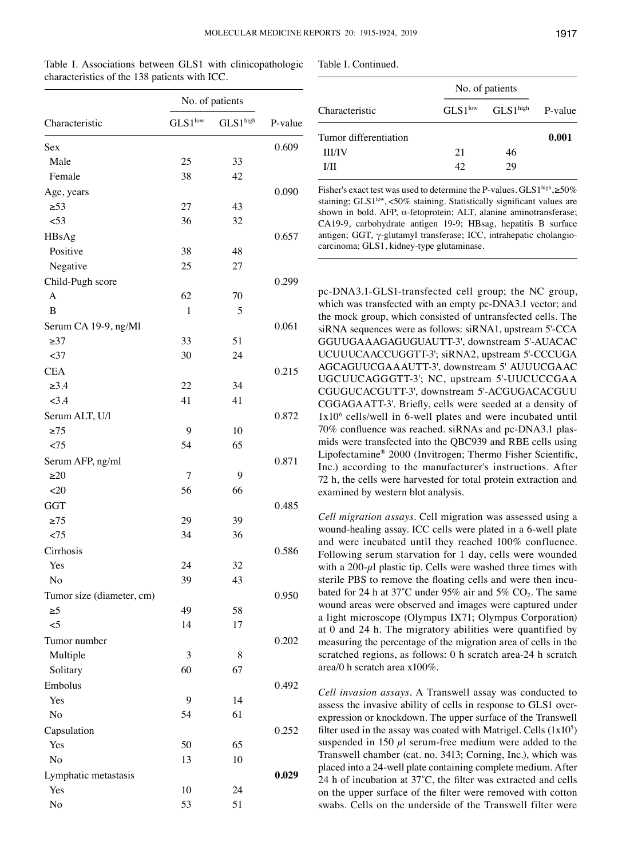| Characteristic            | No. of patients     |          |         |
|---------------------------|---------------------|----------|---------|
|                           | $GLS1^{\text{low}}$ | GLS1high | P-value |
| Sex                       |                     |          | 0.609   |
| Male                      | 25                  | 33       |         |
| Female                    | 38                  | 42       |         |
| Age, years                |                     |          | 0.090   |
| $\geq 53$                 | 27                  | 43       |         |
| < 53                      | 36                  | 32       |         |
| HBsAg                     |                     |          | 0.657   |
| Positive                  | 38                  | 48       |         |
| Negative                  | 25                  | 27       |         |
| Child-Pugh score          |                     |          | 0.299   |
| A                         | 62                  | 70       |         |
| B                         | 1                   | 5        |         |
| Serum CA 19-9, ng/Ml      |                     |          | 0.061   |
| $\geq$ 37                 | 33                  | 51       |         |
| $37$                      | 30                  | 24       |         |
| <b>CEA</b>                |                     |          | 0.215   |
| $\geq 3.4$                | 22                  | 34       |         |
| <3.4                      | 41                  | 41       |         |
| Serum ALT, U/l            |                     |          | 0.872   |
| $\geq$ 75                 | 9                   | 10       |         |
| < 75                      | 54                  | 65       |         |
| Serum AFP, ng/ml          |                     |          | 0.871   |
| $\geq 20$                 | 7                   | 9        |         |
| $<$ 20                    | 56                  | 66       |         |
| <b>GGT</b>                |                     |          | 0.485   |
| $\geq 75$                 | 29                  | 39       |         |
| < 75                      | 34                  | 36       |         |
| Cirrhosis                 |                     |          | 0.586   |
| Yes                       | 24                  | 32       |         |
| No                        | 39                  | 43       |         |
| Tumor size (diameter, cm) |                     |          | 0.950   |
| $\geq 5$                  | 49                  | 58       |         |
| $\leq$ 5                  | 14                  | 17       |         |
| Tumor number              |                     |          | 0.202   |
| Multiple                  | 3                   | 8        |         |
| Solitary                  | 60                  | 67       |         |
| Embolus                   |                     |          | 0.492   |
| Yes                       | 9                   | 14       |         |
| No                        | 54                  | 61       |         |
| Capsulation               |                     |          | 0.252   |
| Yes                       | 50                  | 65       |         |
| No                        | 13                  | 10       |         |
| Lymphatic metastasis      |                     |          | 0.029   |
| Yes                       | 10                  | 24       |         |
| No                        | 53                  | 51       |         |

Table I. Associations between GLS1 with clinicopathologic

characteristics of the 138 patients with ICC.

| Characteristic        | No. of patients     |                      |         |
|-----------------------|---------------------|----------------------|---------|
|                       | $GLS1^{\text{low}}$ | GLS1 <sup>high</sup> | P-value |
| Tumor differentiation |                     |                      | 0.001   |
| <b>III/IV</b>         | 21                  | 46                   |         |
| L/II                  | 42                  | 29                   |         |

Fisher's exact test was used to determine the P-values. GLS1high,  $\geq$ 50% staining; GLS1<sup>low</sup>, <50% staining. Statistically significant values are shown in bold. AFP, α‑fetoprotein; ALT, alanine aminotransferase; CA19‑9, carbohydrate antigen 19‑9; HBsag, hepatitis B surface antigen; GGT, γ‑glutamyl transferase; ICC, intrahepatic cholangiocarcinoma; GLS1, kidney‑type glutaminase.

pc-DNA3.1-GLS1-transfected cell group; the NC group, which was transfected with an empty pc-DNA3.1 vector; and the mock group, which consisted of untransfected cells. The siRNA sequences were as follows: siRNA1, upstream 5'‑CCA GGUUGAAAGAGUGUAUTT‑3', downstream 5'‑AUACAC UCUUUCAACCUGGTT‑3'; siRNA2, upstream 5'‑CCCUGA AGCAGUUCGAAAUTT‑3', downstream 5' AUUUCGAAC UGCUUCAGGGTT‑3'; NC, upstream 5'‑UUCUCCGAA CGUGUCACGUTT‑3', downstream 5'‑ACGUGACACGUU CGGAGAATT‑3'. Briefly, cells were seeded at a density of  $1x10<sup>6</sup>$  cells/well in 6-well plates and were incubated until 70% confluence was reached. siRNAs and pc‑DNA3.1 plasmids were transfected into the QBC939 and RBE cells using Lipofectamine® 2000 (Invitrogen; Thermo Fisher Scientific, Inc.) according to the manufacturer's instructions. After 72 h, the cells were harvested for total protein extraction and examined by western blot analysis.

*Cell migration assays.* Cell migration was assessed using a wound‑healing assay. ICC cells were plated in a 6‑well plate and were incubated until they reached 100% confluence. Following serum starvation for 1 day, cells were wounded with a  $200-\mu l$  plastic tip. Cells were washed three times with sterile PBS to remove the floating cells and were then incubated for 24 h at 37°C under 95% air and 5% CO<sub>2</sub>. The same wound areas were observed and images were captured under a light microscope (Olympus IX71; Olympus Corporation) at 0 and 24 h. The migratory abilities were quantified by measuring the percentage of the migration area of cells in the scratched regions, as follows: 0 h scratch area-24 h scratch area/0 h scratch area x100%.

*Cell invasion assays.* A Transwell assay was conducted to assess the invasive ability of cells in response to GLS1 overexpression or knockdown. The upper surface of the Transwell filter used in the assay was coated with Matrigel. Cells  $(1x10<sup>5</sup>)$ suspended in 150  $\mu$ l serum-free medium were added to the Transwell chamber (cat. no. 3413; Corning, Inc.), which was placed into a 24‑well plate containing complete medium. After 24 h of incubation at 37˚C, the filter was extracted and cells on the upper surface of the filter were removed with cotton swabs. Cells on the underside of the Transwell filter were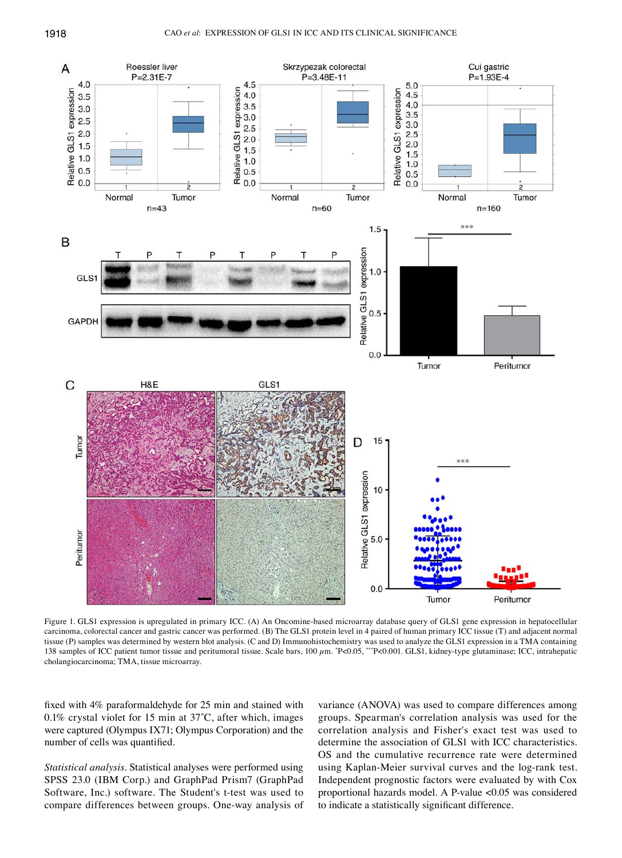

Figure 1. GLS1 expression is upregulated in primary ICC. (A) An Oncomine-based microarray database query of GLS1 gene expression in hepatocellular carcinoma, colorectal cancer and gastric cancer was performed. (B) The GLS1 protein level in 4 paired of human primary ICC tissue (T) and adjacent normal tissue (P) samples was determined by western blot analysis. (C and D) Immunohistochemistry was used to analyze the GLS1 expression in a TMA containing 138 samples of ICC patient tumor tissue and peritumoral tissue. Scale bars,  $100 \mu m$ .  $P<0.05$ ,  $P<0.001$ . GLS1, kidney-type glutaminase; ICC, intrahepatic cholangiocarcinoma; TMA, tissue microarray.

fixed with 4% paraformaldehyde for 25 min and stained with 0.1% crystal violet for 15 min at 37˚C, after which, images were captured (Olympus IX71; Olympus Corporation) and the number of cells was quantified.

*Statistical analysis.* Statistical analyses were performed using SPSS 23.0 (IBM Corp.) and GraphPad Prism7 (GraphPad Software, Inc.) software. The Student's t‑test was used to compare differences between groups. One‑way analysis of

variance (ANOVA) was used to compare differences among groups. Spearman's correlation analysis was used for the correlation analysis and Fisher's exact test was used to determine the association of GLS1 with ICC characteristics. OS and the cumulative recurrence rate were determined using Kaplan-Meier survival curves and the log-rank test. Independent prognostic factors were evaluated by with Cox proportional hazards model. A P*‑*value <0.05 was considered to indicate a statistically significant difference.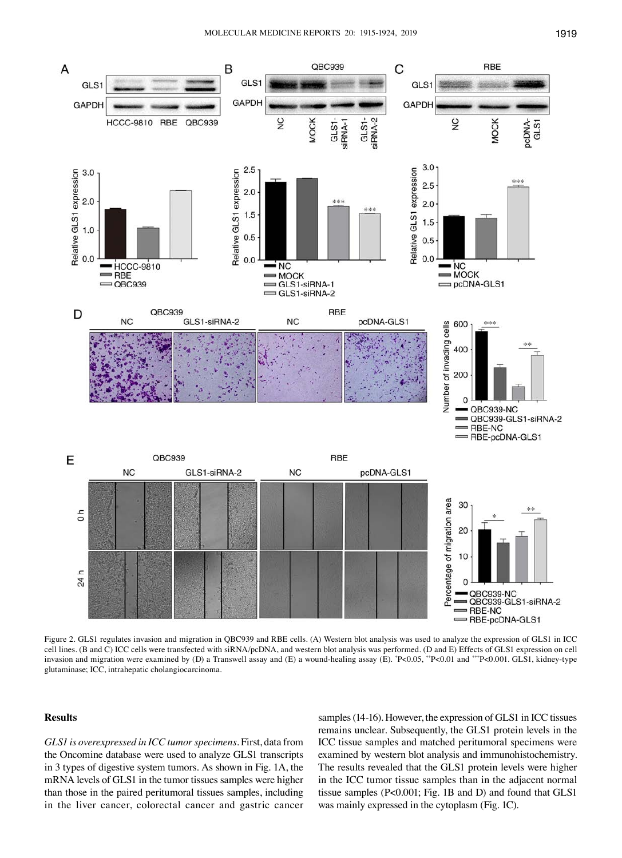

Figure 2. GLS1 regulates invasion and migration in QBC939 and RBE cells. (A) Western blot analysis was used to analyze the expression of GLS1 in ICC cell lines. (B and C) ICC cells were transfected with siRNA/pcDNA, and western blot analysis was performed. (D and E) Effects of GLS1 expression on cell invasion and migration were examined by (D) a Transwell assay and (E) a wound-healing assay (E).  $P<0.05$ ,  $P<0.05$ ,  $P<0.01$  and  $*P<0.001$ . GLS1, kidney-type glutaminase; ICC, intrahepatic cholangiocarcinoma.

## **Results**

*GLS1 is overexpressed in ICC tumor specimens.* First, data from the Oncomine database were used to analyze GLS1 transcripts in 3 types of digestive system tumors. As shown in Fig. 1A, the mRNA levels of GLS1 in the tumor tissues samples were higher than those in the paired peritumoral tissues samples, including in the liver cancer, colorectal cancer and gastric cancer samples (14–16). However, the expression of GLS1 in ICC tissues remains unclear. Subsequently, the GLS1 protein levels in the ICC tissue samples and matched peritumoral specimens were examined by western blot analysis and immunohistochemistry. The results revealed that the GLS1 protein levels were higher in the ICC tumor tissue samples than in the adjacent normal tissue samples (P<0.001; Fig. 1B and D) and found that GLS1 was mainly expressed in the cytoplasm (Fig. 1C).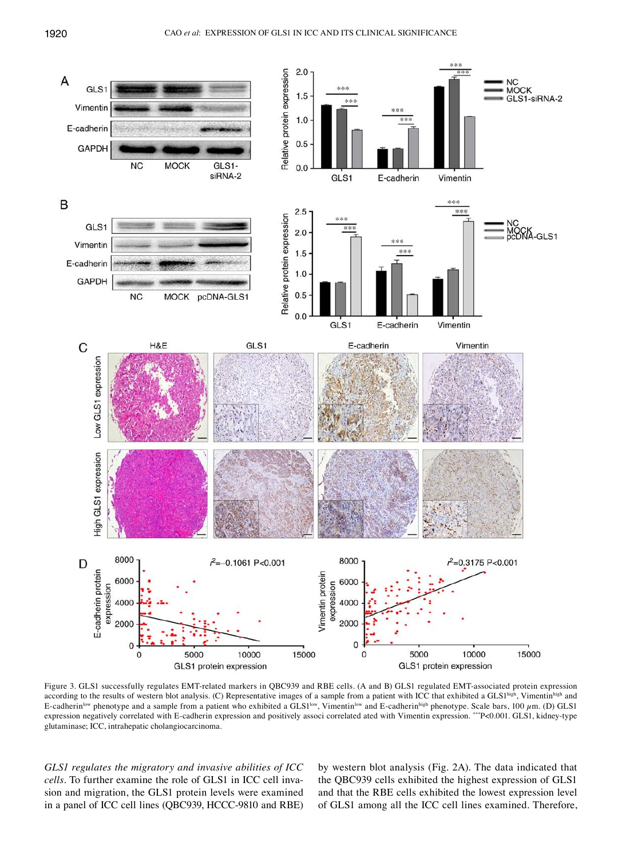

Figure 3. GLS1 successfully regulates EMT-related markers in QBC939 and RBE cells. (A and B) GLS1 regulated EMT-associated protein expression according to the results of western blot analysis. (C) Representative images of a sample from a patient with ICC that exhibited a GLS1high, Vimentinhigh and E-cadherin<sup>low</sup> phenotype and a sample from a patient who exhibited a GLS1<sup>low</sup>, Vimentin<sup>low</sup> and E-cadherin<sup>high</sup> phenotype. Scale bars, 100  $\mu$ m. (D) GLS1 expression negatively correlated with E‑cadherin expression and positively associ correlated ated with Vimentin expression. \*\*\*P<0.001. GLS1, kidney-type glutaminase; ICC, intrahepatic cholangiocarcinoma.

*GLS1 regulates the migratory and invasive abilities of ICC cells.* To further examine the role of GLS1 in ICC cell invasion and migration, the GLS1 protein levels were examined in a panel of ICC cell lines (QBC939, HCCC‑9810 and RBE) by western blot analysis (Fig. 2A). The data indicated that the QBC939 cells exhibited the highest expression of GLS1 and that the RBE cells exhibited the lowest expression level of GLS1 among all the ICC cell lines examined. Therefore,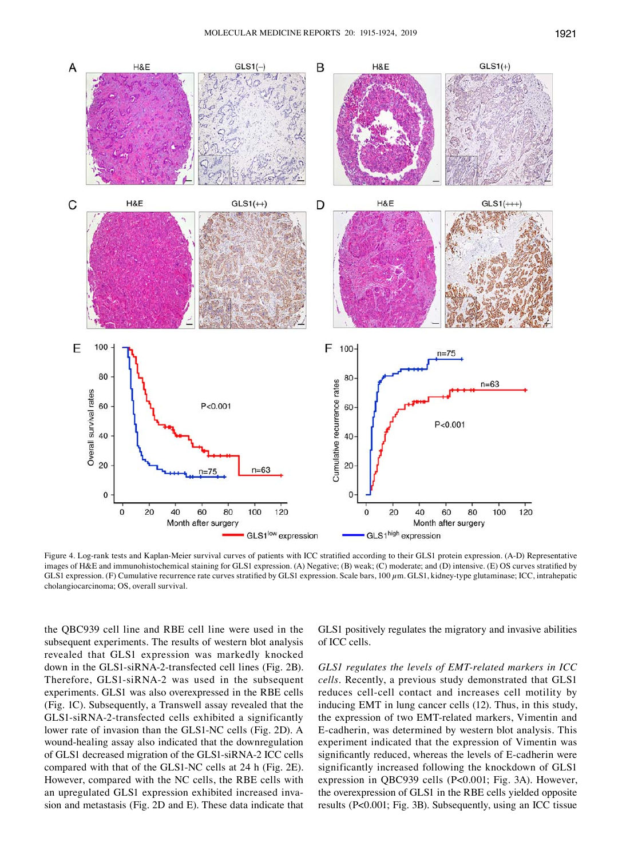

Figure 4. Log-rank tests and Kaplan-Meier survival curves of patients with ICC stratified according to their GLS1 protein expression. (A-D) Representative images of H&E and immunohistochemical staining for GLS1 expression. (A) Negative; (B) weak; (C) moderate; and (D) intensive. (E) OS curves stratified by GLS1 expression. (F) Cumulative recurrence rate curves stratified by GLS1 expression. Scale bars, 100  $\mu$ m. GLS1, kidney-type glutaminase; ICC, intrahepatic cholangiocarcinoma; OS, overall survival.

the QBC939 cell line and RBE cell line were used in the subsequent experiments. The results of western blot analysis revealed that GLS1 expression was markedly knocked down in the GLS1‑siRNA‑2‑transfected cell lines (Fig. 2B). Therefore, GLS1-siRNA-2 was used in the subsequent experiments. GLS1 was also overexpressed in the RBE cells (Fig. 1C). Subsequently, a Transwell assay revealed that the GLS1‑siRNA‑2‑transfected cells exhibited a significantly lower rate of invasion than the GLS1‑NC cells (Fig. 2D). A wound-healing assay also indicated that the downregulation of GLS1 decreased migration of the GLS1‑siRNA‑2 ICC cells compared with that of the GLS1‑NC cells at 24 h (Fig. 2E). However, compared with the NC cells, the RBE cells with an upregulated GLS1 expression exhibited increased invasion and metastasis (Fig. 2D and E). These data indicate that GLS1 positively regulates the migratory and invasive abilities of ICC cells.

*GLS1 regulates the levels of EMT‑related markers in ICC cells.* Recently, a previous study demonstrated that GLS1 reduces cell-cell contact and increases cell motility by inducing EMT in lung cancer cells (12). Thus, in this study, the expression of two EMT‑related markers, Vimentin and E‑cadherin, was determined by western blot analysis. This experiment indicated that the expression of Vimentin was significantly reduced, whereas the levels of E-cadherin were significantly increased following the knockdown of GLS1 expression in QBC939 cells (P<0.001; Fig. 3A). However, the overexpression of GLS1 in the RBE cells yielded opposite results (P<0.001; Fig. 3B). Subsequently, using an ICC tissue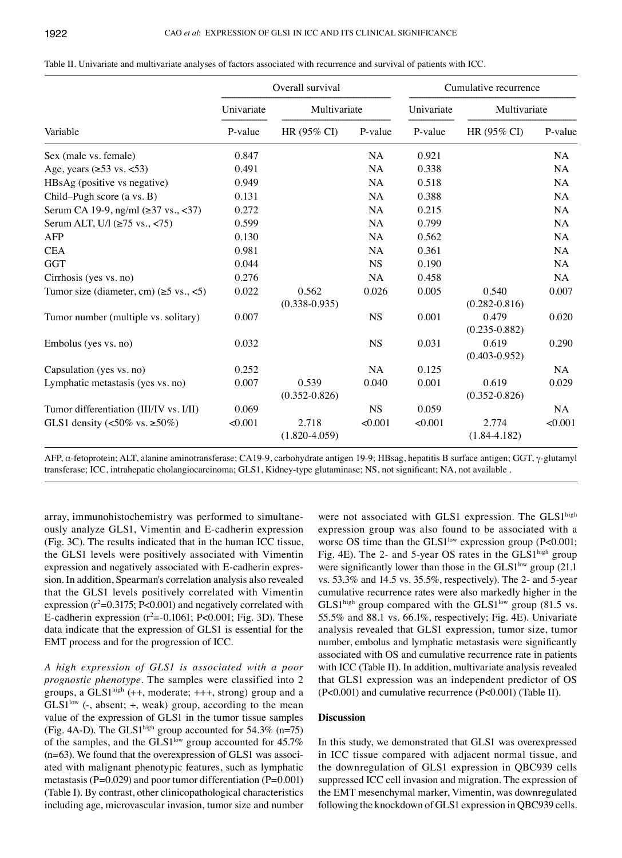|                                                        | Overall survival |                            |             | Cumulative recurrence |                            |           |
|--------------------------------------------------------|------------------|----------------------------|-------------|-----------------------|----------------------------|-----------|
| Variable                                               | Univariate       | Multivariate               |             | Univariate            | Multivariate               |           |
|                                                        | P-value          | HR (95% CI)                | P-value     | P-value               | HR (95% CI)                | P-value   |
| Sex (male vs. female)                                  | 0.847            |                            | <b>NA</b>   | 0.921                 |                            | NA        |
| Age, years $(\geq 53 \text{ vs.} < 53)$                | 0.491            |                            | NA          | 0.338                 |                            | NA        |
| HBsAg (positive vs negative)                           | 0.949            |                            | NA          | 0.518                 |                            | NA        |
| Child–Pugh score (a vs. B)                             | 0.131            |                            | <b>NA</b>   | 0.388                 |                            | <b>NA</b> |
| Serum CA 19-9, ng/ml (≥37 vs., <37)                    | 0.272            |                            | <b>NA</b>   | 0.215                 |                            | <b>NA</b> |
| Serum ALT, U/l $(≥75 \text{ vs.}, <75)$                | 0.599            |                            | NA          | 0.799                 |                            | NA        |
| AFP                                                    | 0.130            |                            | NA          | 0.562                 |                            | NA        |
| <b>CEA</b>                                             | 0.981            |                            | <b>NA</b>   | 0.361                 |                            | <b>NA</b> |
| <b>GGT</b>                                             | 0.044            |                            | $_{\rm NS}$ | 0.190                 |                            | NA        |
| Cirrhosis (yes vs. no)                                 | 0.276            |                            | NA          | 0.458                 |                            | NA        |
| Tumor size (diameter, cm) $(\ge 5 \text{ vs.}, \le 5)$ | 0.022            | 0.562<br>$(0.338 - 0.935)$ | 0.026       | 0.005                 | 0.540<br>$(0.282 - 0.816)$ | 0.007     |
| Tumor number (multiple vs. solitary)                   | 0.007            |                            | <b>NS</b>   | 0.001                 | 0.479<br>$(0.235 - 0.882)$ | 0.020     |
| Embolus (yes vs. no)                                   | 0.032            |                            | <b>NS</b>   | 0.031                 | 0.619<br>$(0.403 - 0.952)$ | 0.290     |
| Capsulation (yes vs. no)                               | 0.252            |                            | <b>NA</b>   | 0.125                 |                            | NA.       |
| Lymphatic metastasis (yes vs. no)                      | 0.007            | 0.539<br>$(0.352 - 0.826)$ | 0.040       | 0.001                 | 0.619<br>$(0.352 - 0.826)$ | 0.029     |
| Tumor differentiation (III/IV vs. I/II)                | 0.069            |                            | <b>NS</b>   | 0.059                 |                            | NA.       |
| GLS1 density (<50% vs. $\geq$ 50%)                     | < 0.001          | 2.718<br>$(1.820 - 4.059)$ | < 0.001     | < 0.001               | 2.774<br>$(1.84 - 4.182)$  | < 0.001   |

Table II. Univariate and multivariate analyses of factors associated with recurrence and survival of patients with ICC.

AFP, α-fetoprotein; ALT, alanine aminotransferase; CA19-9, carbohydrate antigen 19-9; HBsag, hepatitis B surface antigen; GGT, γ-glutamyl transferase; ICC, intrahepatic cholangiocarcinoma; GLS1, Kidney-type glutaminase; NS, not significant; NA, not available .

array, immunohistochemistry was performed to simultaneously analyze GLS1, Vimentin and E‑cadherin expression (Fig. 3C). The results indicated that in the human ICC tissue, the GLS1 levels were positively associated with Vimentin expression and negatively associated with E-cadherin expression. In addition, Spearman's correlation analysis also revealed that the GLS1 levels positively correlated with Vimentin  $expression (r^2=0.3175; P<0.001)$  and negatively correlated with E-cadherin expression  $(r^2=0.1061; P<0.001; Fig. 3D)$ . These data indicate that the expression of GLS1 is essential for the EMT process and for the progression of ICC.

*A high expression of GLS1 is associated with a poor prognostic phenotype.* The samples were classified into 2 groups, a GLS1high (++, moderate; +++, strong) group and a  $GLS1<sup>low</sup>$  (-, absent; +, weak) group, according to the mean value of the expression of GLS1 in the tumor tissue samples (Fig. 4A‑D). The GLS1high group accounted for 54.3% (n=75) of the samples, and the GLS1<sup>low</sup> group accounted for  $45.7\%$ (n=63). We found that the overexpression of GLS1 was associated with malignant phenotypic features, such as lymphatic metastasis ( $P=0.029$ ) and poor tumor differentiation ( $P=0.001$ ) (Table I). By contrast, other clinicopathological characteristics including age, microvascular invasion, tumor size and number

were not associated with GLS1 expression. The GLS1high expression group was also found to be associated with a worse OS time than the  $GLS1<sup>low</sup>$  expression group (P<0.001; Fig. 4E). The 2- and 5-year OS rates in the GLS1<sup>high</sup> group were significantly lower than those in the GLS1<sup>low</sup> group (21.1) vs. 53.3% and 14.5 vs. 35.5%, respectively). The 2‑ and 5‑year cumulative recurrence rates were also markedly higher in the  $GLS1<sup>high</sup>$  group compared with the  $GLS1<sup>low</sup>$  group (81.5 vs. 55.5% and 88.1 vs. 66.1%, respectively; Fig. 4E). Univariate analysis revealed that GLS1 expression, tumor size, tumor number, embolus and lymphatic metastasis were significantly associated with OS and cumulative recurrence rate in patients with ICC (Table II). In addition, multivariate analysis revealed that GLS1 expression was an independent predictor of OS (P<0.001) and cumulative recurrence (P<0.001) (Table II).

## **Discussion**

In this study, we demonstrated that GLS1 was overexpressed in ICC tissue compared with adjacent normal tissue, and the downregulation of GLS1 expression in QBC939 cells suppressed ICC cell invasion and migration. The expression of the EMT mesenchymal marker, Vimentin, was downregulated following the knockdown of GLS1 expression in QBC939 cells.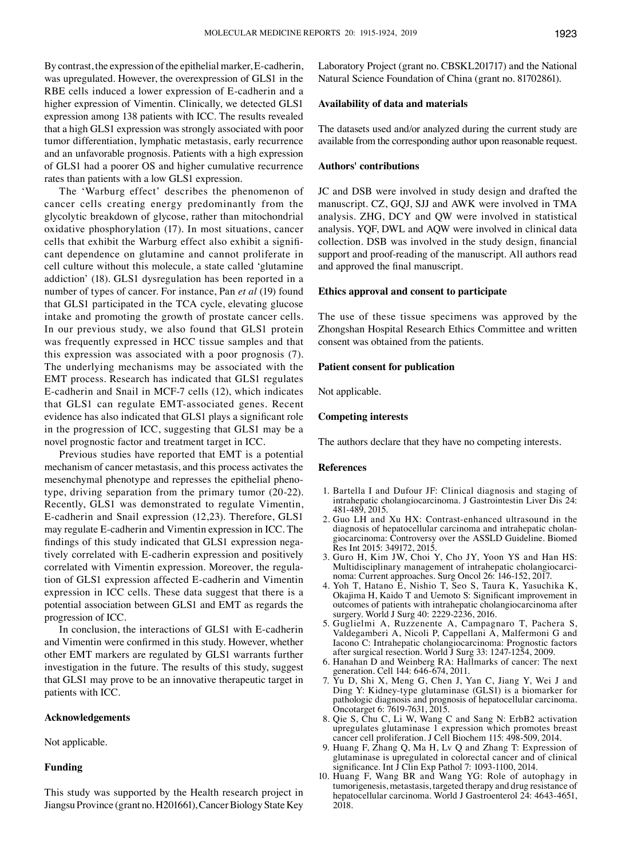By contrast, the expression of the epithelial marker, E‑cadherin, was upregulated. However, the overexpression of GLS1 in the RBE cells induced a lower expression of E-cadherin and a higher expression of Vimentin. Clinically, we detected GLS1 expression among 138 patients with ICC. The results revealed that a high GLS1 expression was strongly associated with poor tumor differentiation, lymphatic metastasis, early recurrence and an unfavorable prognosis. Patients with a high expression of GLS1 had a poorer OS and higher cumulative recurrence rates than patients with a low GLS1 expression.

The 'Warburg effect' describes the phenomenon of cancer cells creating energy predominantly from the glycolytic breakdown of glycose, rather than mitochondrial oxidative phosphorylation (17). In most situations, cancer cells that exhibit the Warburg effect also exhibit a significant dependence on glutamine and cannot proliferate in cell culture without this molecule, a state called 'glutamine addiction' (18). GLS1 dysregulation has been reported in a number of types of cancer. For instance, Pan *et al* (19) found that GLS1 participated in the TCA cycle, elevating glucose intake and promoting the growth of prostate cancer cells. In our previous study, we also found that GLS1 protein was frequently expressed in HCC tissue samples and that this expression was associated with a poor prognosis (7). The underlying mechanisms may be associated with the EMT process. Research has indicated that GLS1 regulates E‑cadherin and Snail in MCF‑7 cells (12), which indicates that GLS1 can regulate EMT‑associated genes. Recent evidence has also indicated that GLS1 plays a significant role in the progression of ICC, suggesting that GLS1 may be a novel prognostic factor and treatment target in ICC.

Previous studies have reported that EMT is a potential mechanism of cancer metastasis, and this process activates the mesenchymal phenotype and represses the epithelial phenotype, driving separation from the primary tumor (20‑22). Recently, GLS1 was demonstrated to regulate Vimentin, E-cadherin and Snail expression (12,23). Therefore, GLS1 may regulate E‑cadherin and Vimentin expression in ICC. The findings of this study indicated that GLS1 expression negatively correlated with E‑cadherin expression and positively correlated with Vimentin expression. Moreover, the regulation of GLS1 expression affected E‑cadherin and Vimentin expression in ICC cells. These data suggest that there is a potential association between GLS1 and EMT as regards the progression of ICC.

In conclusion, the interactions of GLS1 with E-cadherin and Vimentin were confirmed in this study. However, whether other EMT markers are regulated by GLS1 warrants further investigation in the future. The results of this study, suggest that GLS1 may prove to be an innovative therapeutic target in patients with ICC.

#### **Acknowledgements**

Not applicable.

## **Funding**

This study was supported by the Health research project in Jiangsu Province (grant no. H201661), Cancer Biology State Key Laboratory Project (grant no. CBSKL201717) and the National Natural Science Foundation of China (grant no. 81702861).

# **Availability of data and materials**

The datasets used and/or analyzed during the current study are available from the corresponding author upon reasonable request.

## **Authors' contributions**

JC and DSB were involved in study design and drafted the manuscript. CZ, GQJ, SJJ and AWK were involved in TMA analysis. ZHG, DCY and QW were involved in statistical analysis. YQF, DWL and AQW were involved in clinical data collection. DSB was involved in the study design, financial support and proof-reading of the manuscript. All authors read and approved the final manuscript.

## **Ethics approval and consent to participate**

The use of these tissue specimens was approved by the Zhongshan Hospital Research Ethics Committee and written consent was obtained from the patients.

### **Patient consent for publication**

Not applicable.

## **Competing interests**

The authors declare that they have no competing interests.

#### **References**

- 1. Bartella I and Dufour JF: Clinical diagnosis and staging of intrahepatic cholangiocarcinoma. J Gastrointestin Liver Dis 24: 481‑489, 2015.
- 2. Guo LH and Xu HX: Contrast‑enhanced ultrasound in the diagnosis of hepatocellular carcinoma and intrahepatic cholangiocarcinoma: Controversy over the ASSLD Guideline. Biomed Res Int 2015: 349172, 2015.
- 3. Guro H, Kim JW, Choi Y, Cho JY, Yoon YS and Han HS: Multidisciplinary management of intrahepatic cholangiocarcinoma: Current approaches. Surg Oncol 26: 146‑152, 2017.
- 4. Yoh T, Hatano E, Nishio T, Seo S, Taura K, Yasuchika K, Okajima H, Kaido T and Uemoto S: Significant improvement in outcomes of patients with intrahepatic cholangiocarcinoma after surgery. World J Surg 40: 2229‑2236, 2016.
- 5. Guglielmi A, Ruzzenente A, Campagnaro T, Pachera S, Valdegamberi A, Nicoli P, Cappellani A, Malfermoni G and Iacono C: Intrahepatic cholangiocarcinoma: Prognostic factors after surgical resection. World J Surg 33: 1247‑1254, 2009.
- 6. Hanahan D and Weinberg RA: Hallmarks of cancer: The next generation. Cell 144: 646‑674, 2011.
- 7. Yu D, Shi X, Meng G, Chen J, Yan C, Jiang Y, Wei J and Ding Y: Kidney-type glutaminase (GLS1) is a biomarker for pathologic diagnosis and prognosis of hepatocellular carcinoma. Oncotarget 6: 7619‑7631, 2015.
- 8. Qie S, Chu C, Li W, Wang C and Sang N: ErbB2 activation upregulates glutaminase 1 expression which promotes breast cancer cell proliferation. J Cell Biochem 115: 498‑509, 2014.
- 9. Huang F, Zhang Q, Ma H, Lv Q and Zhang T: Expression of glutaminase is upregulated in colorectal cancer and of clinical significance. Int J Clin Exp Pathol 7: 1093-1100, 2014.
- 10. Huang F, Wang BR and Wang YG: Role of autophagy in tumorigenesis, metastasis, targeted therapy and drug resistance of hepatocellular carcinoma. World J Gastroenterol 24: 4643-4651, 2018.